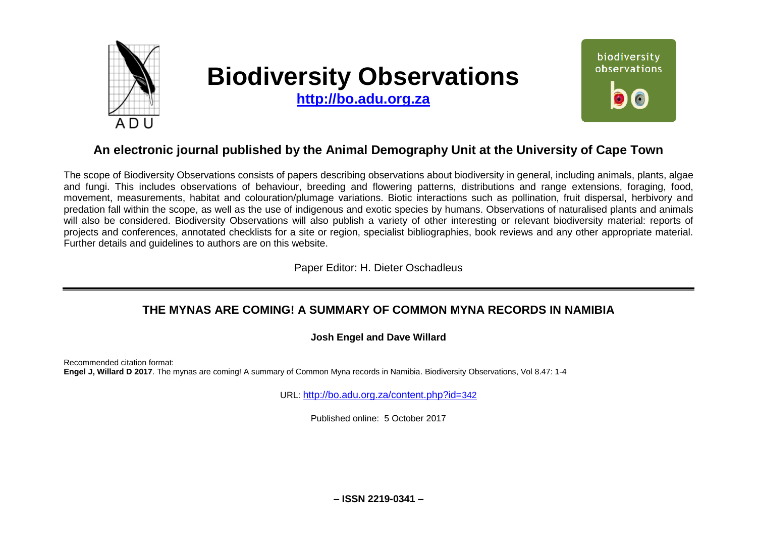

# **Biodiversity Observations**

**[http://bo.adu.org.za](http://bo.adu.org.za/)**



# **An electronic journal published by the Animal Demography Unit at the University of Cape Town**

The scope of Biodiversity Observations consists of papers describing observations about biodiversity in general, including animals, plants, algae and fungi. This includes observations of behaviour, breeding and flowering patterns, distributions and range extensions, foraging, food, movement, measurements, habitat and colouration/plumage variations. Biotic interactions such as pollination, fruit dispersal, herbivory and predation fall within the scope, as well as the use of indigenous and exotic species by humans. Observations of naturalised plants and animals will also be considered. Biodiversity Observations will also publish a variety of other interesting or relevant biodiversity material: reports of projects and conferences, annotated checklists for a site or region, specialist bibliographies, book reviews and any other appropriate material. Further details and guidelines to authors are on this website.

Paper Editor: H. Dieter Oschadleus

## **THE MYNAS ARE COMING! A SUMMARY OF COMMON MYNA RECORDS IN NAMIBIA**

## **Josh Engel and Dave Willard**

Recommended citation format: **Engel J, Willard D 2017**. The mynas are coming! A summary of Common Myna records in Namibia. Biodiversity Observations, Vol 8.47: 1-4

URL: [http://bo.adu.org.za/content.php?id=](http://bo.adu.org.za/content.php?id=342)342

Published online: 5 October 2017

**– ISSN 2219-0341 –**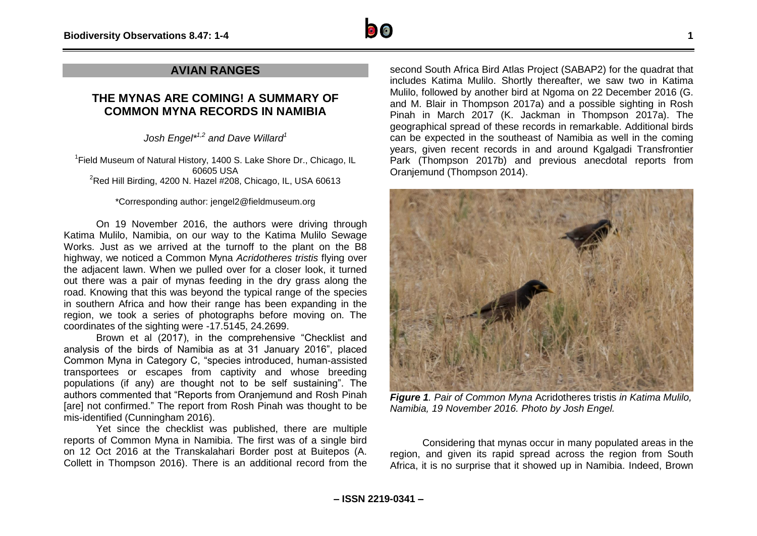## **AVIAN RANGES**

## **THE MYNAS ARE COMING! A SUMMARY OF COMMON MYNA RECORDS IN NAMIBIA**

*Josh Engel\* 1,2 and Dave Willard<sup>1</sup>*

<sup>1</sup>Field Museum of Natural History, 1400 S. Lake Shore Dr., Chicago, IL 60605 USA  $2$ Red Hill Birding, 4200 N. Hazel #208, Chicago, IL, USA 60613

### \*Corresponding author: jengel2@fieldmuseum.org

On 19 November 2016, the authors were driving through Katima Mulilo, Namibia, on our way to the Katima Mulilo Sewage Works. Just as we arrived at the turnoff to the plant on the B8 highway, we noticed a Common Myna *Acridotheres tristis* flying over the adjacent lawn. When we pulled over for a closer look, it turned out there was a pair of mynas feeding in the dry grass along the road. Knowing that this was beyond the typical range of the species in southern Africa and how their range has been expanding in the region, we took a series of photographs before moving on. The coordinates of the sighting were -17.5145, 24.2699.

Brown et al (2017), in the comprehensive "Checklist and analysis of the birds of Namibia as at 31 January 2016", placed Common Myna in Category C, "species introduced, human-assisted transportees or escapes from captivity and whose breeding populations (if any) are thought not to be self sustaining". The authors commented that "Reports from Oranjemund and Rosh Pinah [are] not confirmed." The report from Rosh Pinah was thought to be mis-identified (Cunningham 2016).

Yet since the checklist was published, there are multiple reports of Common Myna in Namibia. The first was of a single bird on 12 Oct 2016 at the Transkalahari Border post at Buitepos (A. Collett in Thompson 2016). There is an additional record from the second South Africa Bird Atlas Project (SABAP2) for the quadrat that includes Katima Mulilo. Shortly thereafter, we saw two in Katima Mulilo, followed by another bird at Ngoma on 22 December 2016 (G. and M. Blair in Thompson 2017a) and a possible sighting in Rosh Pinah in March 2017 (K. Jackman in Thompson 2017a). The geographical spread of these records in remarkable. Additional birds can be expected in the southeast of Namibia as well in the coming years, given recent records in and around Kgalgadi Transfrontier Park (Thompson 2017b) and previous anecdotal reports from Oranjemund (Thompson 2014).



*Figure 1. Pair of Common Myna* Acridotheres tristis *in Katima Mulilo, Namibia, 19 November 2016. Photo by Josh Engel.*

Considering that mynas occur in many populated areas in the region, and given its rapid spread across the region from South Africa, it is no surprise that it showed up in Namibia. Indeed, Brown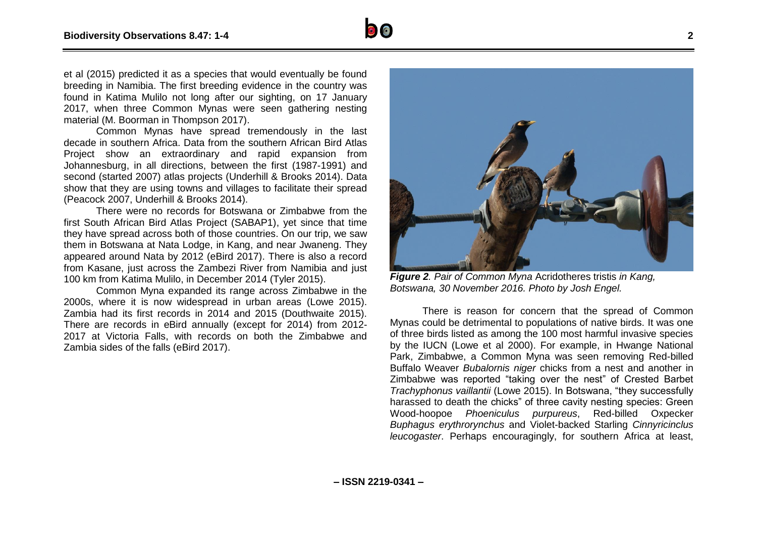et al (2015) predicted it as a species that would eventually be found breeding in Namibia. The first breeding evidence in the country was found in Katima Mulilo not long after our sighting, on 17 January 2017, when three Common Mynas were seen gathering nesting material (M. Boorman in Thompson 2017).

Common Mynas have spread tremendously in the last decade in southern Africa. Data from the southern African Bird Atlas Project show an extraordinary and rapid expansion from Johannesburg, in all directions, between the first (1987-1991) and second (started 2007) atlas projects (Underhill & Brooks 2014). Data show that they are using towns and villages to facilitate their spread (Peacock 2007, Underhill & Brooks 2014).

There were no records for Botswana or Zimbabwe from the first South African Bird Atlas Project (SABAP1), yet since that time they have spread across both of those countries. On our trip, we saw them in Botswana at Nata Lodge, in Kang, and near Jwaneng. They appeared around Nata by 2012 (eBird 2017). There is also a record from Kasane, just across the Zambezi River from Namibia and just 100 km from Katima Mulilo, in December 2014 (Tyler 2015).

Common Myna expanded its range across Zimbabwe in the 2000s, where it is now widespread in urban areas (Lowe 2015). Zambia had its first records in 2014 and 2015 (Douthwaite 2015). There are records in eBird annually (except for 2014) from 2012- 2017 at Victoria Falls, with records on both the Zimbabwe and Zambia sides of the falls (eBird 2017).



*Figure 2. Pair of Common Myna* Acridotheres tristis *in Kang, Botswana, 30 November 2016. Photo by Josh Engel.*

There is reason for concern that the spread of Common Mynas could be detrimental to populations of native birds. It was one of three birds listed as among the 100 most harmful invasive species by the IUCN (Lowe et al 2000). For example, in Hwange National Park, Zimbabwe, a Common Myna was seen removing Red-billed Buffalo Weaver *Bubalornis niger* chicks from a nest and another in Zimbabwe was reported "taking over the nest" of Crested Barbet *Trachyphonus vaillantii* (Lowe 2015). In Botswana, "they successfully harassed to death the chicks" of three cavity nesting species: Green Wood-hoopoe *Phoeniculus purpureus*, Red-billed Oxpecker *Buphagus erythrorynchus* and Violet-backed Starling *Cinnyricinclus leucogaster*. Perhaps encouragingly, for southern Africa at least,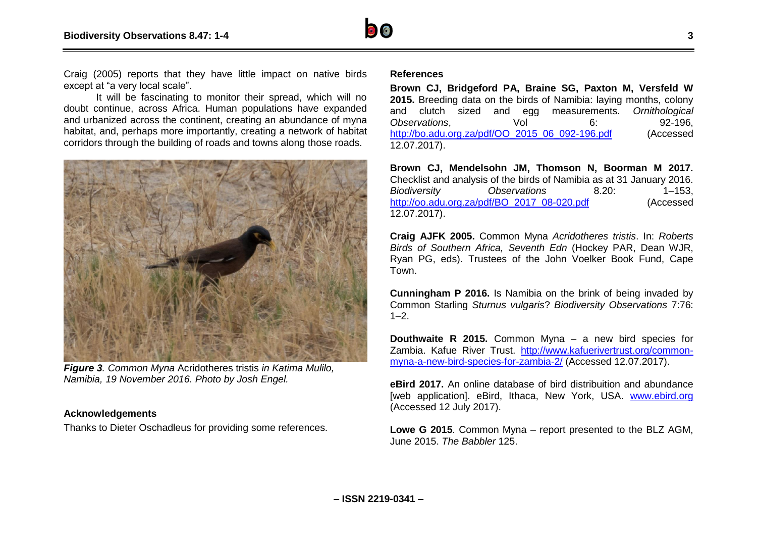

Craig (2005) reports that they have little impact on native birds except at "a very local scale".

It will be fascinating to monitor their spread, which will no doubt continue, across Africa. Human populations have expanded and urbanized across the continent, creating an abundance of myna habitat, and, perhaps more importantly, creating a network of habitat corridors through the building of roads and towns along those roads.



*Figure 3. Common Myna* Acridotheres tristis *in Katima Mulilo, Namibia, 19 November 2016. Photo by Josh Engel.*

#### **Acknowledgements**

Thanks to Dieter Oschadleus for providing some references.

#### **References**

**Brown CJ, Bridgeford PA, Braine SG, Paxton M, Versfeld W 2015.** Breeding data on the birds of Namibia: laying months, colony and clutch sized and egg measurements. *Ornithological Observations*, Vol 6: 92-196, [http://bo.adu.org.za/pdf/OO\\_2015\\_06\\_092-196.pdf](http://bo.adu.org.za/pdf/OO_2015_06_092-196.pdf) (Accessed 12.07.2017).

**Brown CJ, Mendelsohn JM, Thomson N, Boorman M 2017.**  Checklist and analysis of the birds of Namibia as at 31 January 2016. *Biodiversity Observations* 8.20: 1–153, [http://oo.adu.org.za/pdf/BO\\_2017\\_08-020.pdf](http://oo.adu.org.za/pdf/BO_2017_08-020.pdf) (Accessed 12.07.2017).

**Craig AJFK 2005.** Common Myna *Acridotheres tristis*. In: *Roberts Birds of Southern Africa, Seventh Edn* (Hockey PAR, Dean WJR, Ryan PG, eds). Trustees of the John Voelker Book Fund, Cape Town.

**Cunningham P 2016.** Is Namibia on the brink of being invaded by Common Starling *Sturnus vulgaris*? *Biodiversity Observations* 7:76:  $1 - 2$ .

**Douthwaite R 2015.** Common Myna – a new bird species for Zambia. Kafue River Trust. [http://www.kafuerivertrust.org/common](http://www.kafuerivertrust.org/common-myna-a-new-bird-species-for-zambia-2/)[myna-a-new-bird-species-for-zambia-2/](http://www.kafuerivertrust.org/common-myna-a-new-bird-species-for-zambia-2/) (Accessed 12.07.2017).

**eBird 2017.** An online database of bird distribuition and abundance [web application]. eBird, Ithaca, New York, USA. [www.ebird.org](http://www.ebird.org/) (Accessed 12 July 2017).

**Lowe G 2015**. Common Myna – report presented to the BLZ AGM, June 2015. *The Babbler* 125.